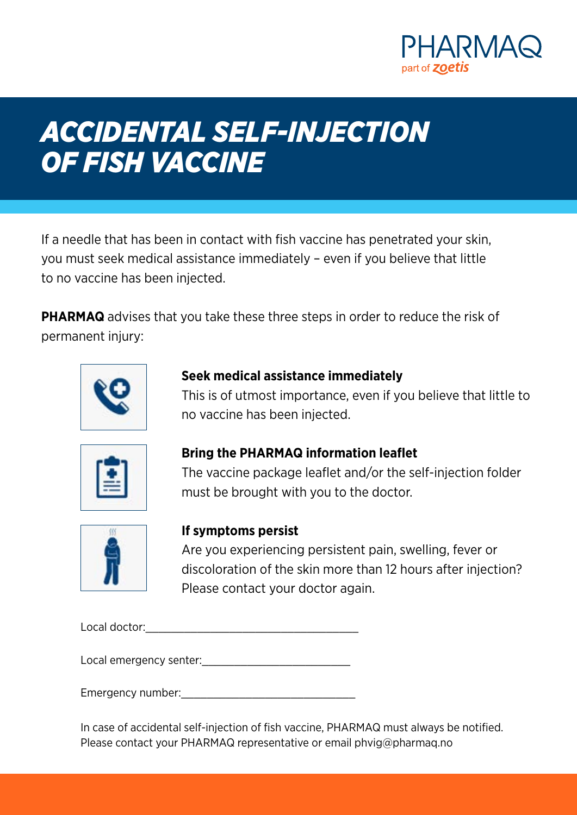

# *ACCIDENTAL SELF-INJECTION OF FISH VACCINE*

If a needle that has been in contact with fish vaccine has penetrated your skin, you must seek medical assistance immediately – even if you believe that little to no vaccine has been injected.

**PHARMAQ** advises that you take these three steps in order to reduce the risk of permanent injury:



## **Seek medical assistance immediately**

This is of utmost importance, even if you believe that little to no vaccine has been injected.



## **Bring the PHARMAQ information leaflet**

The vaccine package leaflet and/or the self-injection folder must be brought with you to the doctor.



## **If symptoms persist**

Are you experiencing persistent pain, swelling, fever or discoloration of the skin more than 12 hours after injection? Please contact your doctor again.

Local doctor:\_\_\_\_\_\_\_\_\_\_\_\_\_\_\_\_\_\_\_\_\_\_\_\_\_\_\_\_\_\_\_\_\_

Local emergency senter:  $\blacksquare$ 

Emergency number:  $\blacksquare$ 

In case of accidental self-injection of fish vaccine, PHARMAQ must always be notified. Please contact your PHARMAQ representative or email phvig@pharmaq.no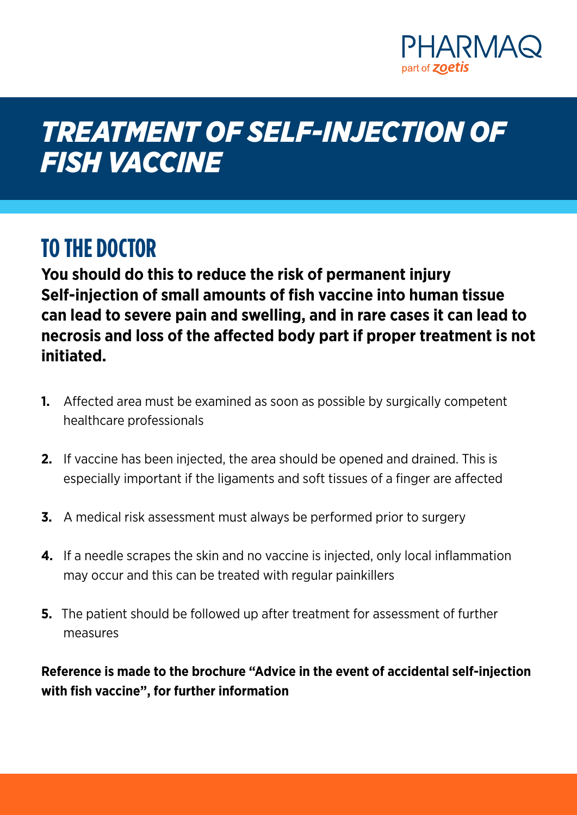

# *TREATMENT OF SELF-INJECTION OF FISH VACCINE*

## **TO THE DOCTOR**

**You should do this to reduce the risk of permanent injury Self-injection of small amounts of fish vaccine into human tissue can lead to severe pain and swelling, and in rare cases it can lead to necrosis and loss of the affected body part if proper treatment is not initiated.**

- **1.** Affected area must be examined as soon as possible by surgically competent healthcare professionals
- **2.** If vaccine has been injected, the area should be opened and drained. This is especially important if the ligaments and soft tissues of a finger are affected
- **3.** A medical risk assessment must always be performed prior to surgery
- **4.** If a needle scrapes the skin and no vaccine is injected, only local inflammation may occur and this can be treated with regular painkillers
- **5.** The patient should be followed up after treatment for assessment of further measures

**Reference is made to the brochure "Advice in the event of accidental self-injection with fish vaccine", for further information**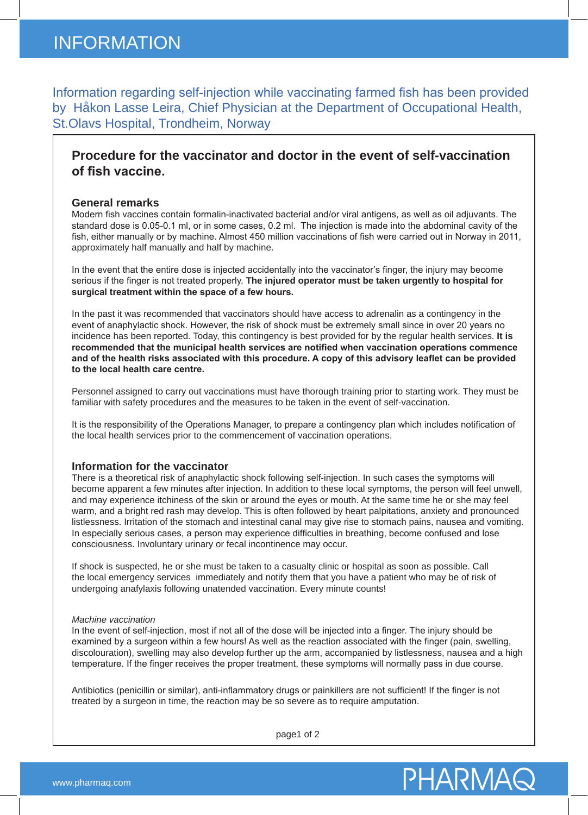Information regarding self-injection while vaccinating farmed fish has been provided by Håkon Lasse Leira, Chief Physician at the Department of Occupational Health, St.Olavs Hospital, Trondheim, Norway

### **Procedure for the vaccinator and doctor in the event of self-vaccination of fish vaccine.**

#### **General remarks**

Modern fish vaccines contain formalin-inactivated bacterial and/or viral antigens, as well as oil adjuvants. The standard dose is 0.05-0.1 ml, or in some cases, 0.2 ml. The injection is made into the abdominal cavity of the fish, either manually or by machine. Almost 450 million vaccinations of fish were carried out in Norway in 2011, approximately half manually and half by machine.

In the event that the entire dose is injected accidentally into the vaccinator's finger, the injury may become serious if the finger is not treated properly. **The injured operator must be taken urgently to hospital for surgical treatment within the space of a few hours.**

In the past it was recommended that vaccinators should have access to adrenalin as a contingency in the event of anaphylactic shock. However, the risk of shock must be extremely small since in over 20 years no incidence has been reported. Today, this contingency is best provided for by the regular health services. **It is recommended that the municipal health services are notified when vaccination operations commence and of the health risks associated with this procedure. A copy of this advisory leaflet can be provided to the local health care centre.**

Personnel assigned to carry out vaccinations must have thorough training prior to starting work. They must be familiar with safety procedures and the measures to be taken in the event of self-vaccination.

It is the responsibility of the Operations Manager, to prepare a contingency plan which includes notification of the local health services prior to the commencement of vaccination operations.

#### **Information for the vaccinator**

There is a theoretical risk of anaphylactic shock following self-injection. In such cases the symptoms will become apparent a few minutes after injection. In addition to these local symptoms, the person will feel unwell, and may experience itchiness of the skin or around the eyes or mouth. At the same time he or she may feel warm, and a bright red rash may develop. This is often followed by heart palpitations, anxiety and pronounced listlessness. Irritation of the stomach and intestinal canal may give rise to stomach pains, nausea and vomiting. In especially serious cases, a person may experience difficulties in breathing, become confused and lose consciousness. Involuntary urinary or fecal incontinence may occur.

If shock is suspected, he or she must be taken to a casualty clinic or hospital as soon as possible. Call the local emergency services immediately and notify them that you have a patient who may be of risk of undergoing anafylaxis following unatended vaccination. Every minute counts!

#### *Machine vaccination*

In the event of self-injection, most if not all of the dose will be injected into a finger. The injury should be examined by a surgeon within a few hours! As well as the reaction associated with the finger (pain, swelling, discolouration), swelling may also develop further up the arm, accompanied by listlessness, nausea and a high temperature. If the finger receives the proper treatment, these symptoms will normally pass in due course.

Antibiotics (penicillin or similar), anti-inflammatory drugs or painkillers are not sufficient! If the finger is not treated by a surgeon in time, the reaction may be so severe as to require amputation.

page1 of 2